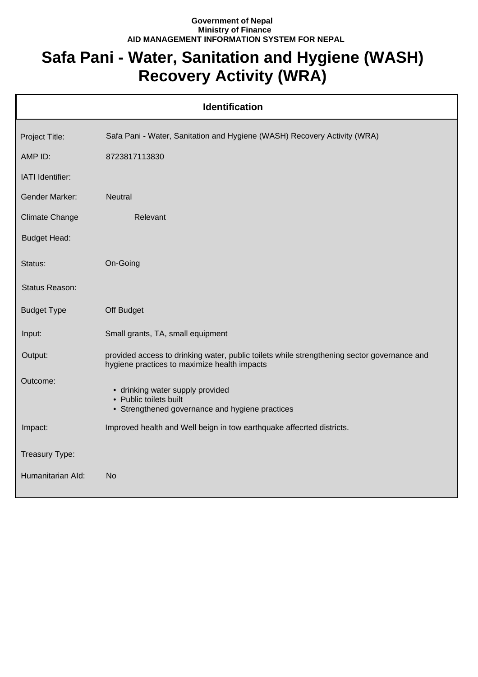## **Government of Nepal Ministry of Finance AID MANAGEMENT INFORMATION SYSTEM FOR NEPAL**

## **Safa Pani - Water, Sanitation and Hygiene (WASH) Recovery Activity (WRA)**

| <b>Identification</b> |                                                                                                                                             |  |
|-----------------------|---------------------------------------------------------------------------------------------------------------------------------------------|--|
| Project Title:        | Safa Pani - Water, Sanitation and Hygiene (WASH) Recovery Activity (WRA)                                                                    |  |
| AMP ID:               | 8723817113830                                                                                                                               |  |
| IATI Identifier:      |                                                                                                                                             |  |
| <b>Gender Marker:</b> | <b>Neutral</b>                                                                                                                              |  |
| <b>Climate Change</b> | Relevant                                                                                                                                    |  |
| <b>Budget Head:</b>   |                                                                                                                                             |  |
| Status:               | On-Going                                                                                                                                    |  |
| Status Reason:        |                                                                                                                                             |  |
| <b>Budget Type</b>    | Off Budget                                                                                                                                  |  |
| Input:                | Small grants, TA, small equipment                                                                                                           |  |
| Output:               | provided access to drinking water, public toilets while strengthening sector governance and<br>hygiene practices to maximize health impacts |  |
| Outcome:              | • drinking water supply provided<br>• Public toilets built<br>• Strengthened governance and hygiene practices                               |  |
| Impact:               | Improved health and Well beign in tow earthquake affecrted districts.                                                                       |  |
| Treasury Type:        |                                                                                                                                             |  |
| Humanitarian Ald:     | No                                                                                                                                          |  |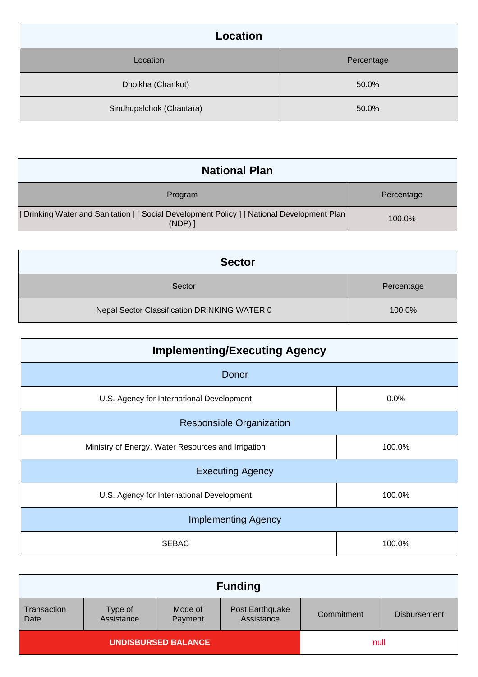| <b>Location</b>          |            |  |
|--------------------------|------------|--|
| Location                 | Percentage |  |
| Dholkha (Charikot)       | 50.0%      |  |
| Sindhupalchok (Chautara) | 50.0%      |  |

| <b>National Plan</b>                                                                              |            |
|---------------------------------------------------------------------------------------------------|------------|
| Program                                                                                           | Percentage |
| [Drinking Water and Sanitation ] [Social Development Policy ] [National Development Plan<br>(NDP) | 100.0%     |

| <b>Sector</b>                                |            |
|----------------------------------------------|------------|
| Sector                                       | Percentage |
| Nepal Sector Classification DRINKING WATER 0 | 100.0%     |

| <b>Implementing/Executing Agency</b>               |        |  |
|----------------------------------------------------|--------|--|
| Donor                                              |        |  |
| U.S. Agency for International Development          | 0.0%   |  |
| <b>Responsible Organization</b>                    |        |  |
| Ministry of Energy, Water Resources and Irrigation | 100.0% |  |
| <b>Executing Agency</b>                            |        |  |
| U.S. Agency for International Development          | 100.0% |  |
| <b>Implementing Agency</b>                         |        |  |
| <b>SEBAC</b>                                       | 100.0% |  |

|                     |                       |                    | <b>Funding</b>                |            |                     |
|---------------------|-----------------------|--------------------|-------------------------------|------------|---------------------|
| Transaction<br>Date | Type of<br>Assistance | Mode of<br>Payment | Post Earthquake<br>Assistance | Commitment | <b>Disbursement</b> |
| UNDISBURSED BALANCE |                       |                    | null                          |            |                     |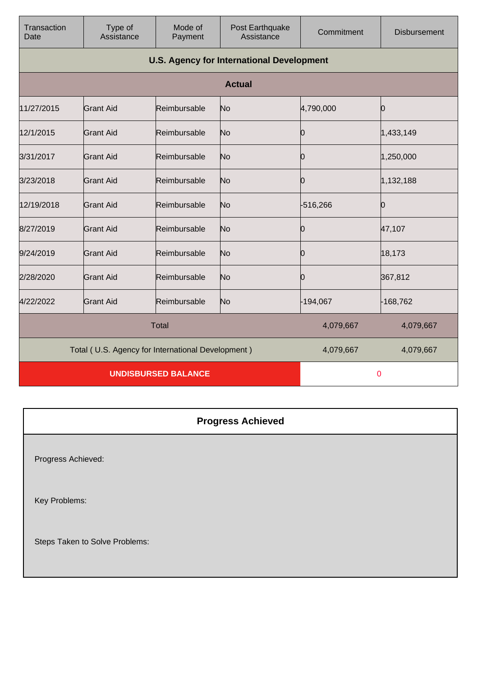| Transaction<br>Date                               | Type of<br>Assistance                            | Mode of<br>Payment | Post Earthquake<br>Assistance | Commitment | <b>Disbursement</b> |
|---------------------------------------------------|--------------------------------------------------|--------------------|-------------------------------|------------|---------------------|
|                                                   | <b>U.S. Agency for International Development</b> |                    |                               |            |                     |
|                                                   |                                                  |                    | <b>Actual</b>                 |            |                     |
| 11/27/2015                                        | <b>Grant Aid</b>                                 | Reimbursable       | No                            | 4,790,000  | Ю                   |
| 12/1/2015                                         | <b>Grant Aid</b>                                 | Reimbursable       | No                            | 0          | 1,433,149           |
| 3/31/2017                                         | Grant Aid                                        | Reimbursable       | No                            | 0          | 1,250,000           |
| 3/23/2018                                         | <b>Grant Aid</b>                                 | Reimbursable       | No                            | 0          | 1,132,188           |
| 12/19/2018                                        | <b>Grant Aid</b>                                 | Reimbursable       | No                            | -516,266   | Ю                   |
| 8/27/2019                                         | <b>Grant Aid</b>                                 | Reimbursable       | No                            | Ю          | 47,107              |
| 9/24/2019                                         | <b>Grant Aid</b>                                 | Reimbursable       | No                            | Ю          | 18,173              |
| 2/28/2020                                         | <b>Grant Aid</b>                                 | Reimbursable       | No                            | Ю          | 367,812             |
| 4/22/2022                                         | <b>Grant Aid</b>                                 | Reimbursable       | No                            | $-194,067$ | -168,762            |
| <b>Total</b>                                      |                                                  |                    | 4,079,667                     | 4,079,667  |                     |
| Total (U.S. Agency for International Development) |                                                  |                    | 4,079,667                     | 4,079,667  |                     |
| <b>UNDISBURSED BALANCE</b>                        |                                                  |                    |                               | 0          |                     |

| <b>Progress Achieved</b>       |
|--------------------------------|
| Progress Achieved:             |
| Key Problems:                  |
| Steps Taken to Solve Problems: |